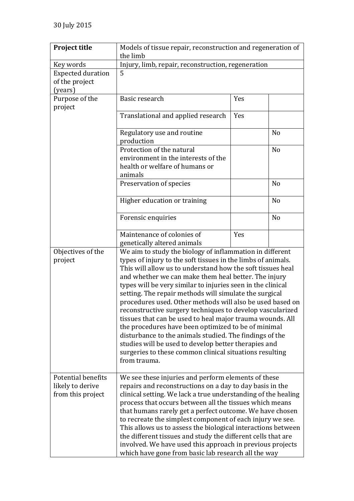| Project title                                                      | Models of tissue repair, reconstruction and regeneration of                                                                                                                                                                                                                                                                                                                                                                                                                                                                                                                                                                                                                                                                                                                                                         |     |                |
|--------------------------------------------------------------------|---------------------------------------------------------------------------------------------------------------------------------------------------------------------------------------------------------------------------------------------------------------------------------------------------------------------------------------------------------------------------------------------------------------------------------------------------------------------------------------------------------------------------------------------------------------------------------------------------------------------------------------------------------------------------------------------------------------------------------------------------------------------------------------------------------------------|-----|----------------|
|                                                                    | the limb                                                                                                                                                                                                                                                                                                                                                                                                                                                                                                                                                                                                                                                                                                                                                                                                            |     |                |
| Key words                                                          | Injury, limb, repair, reconstruction, regeneration                                                                                                                                                                                                                                                                                                                                                                                                                                                                                                                                                                                                                                                                                                                                                                  |     |                |
| <b>Expected duration</b><br>of the project                         | 5                                                                                                                                                                                                                                                                                                                                                                                                                                                                                                                                                                                                                                                                                                                                                                                                                   |     |                |
| (years)                                                            |                                                                                                                                                                                                                                                                                                                                                                                                                                                                                                                                                                                                                                                                                                                                                                                                                     |     |                |
| Purpose of the                                                     | Basic research                                                                                                                                                                                                                                                                                                                                                                                                                                                                                                                                                                                                                                                                                                                                                                                                      | Yes |                |
| project                                                            |                                                                                                                                                                                                                                                                                                                                                                                                                                                                                                                                                                                                                                                                                                                                                                                                                     |     |                |
|                                                                    | Translational and applied research                                                                                                                                                                                                                                                                                                                                                                                                                                                                                                                                                                                                                                                                                                                                                                                  | Yes |                |
|                                                                    | Regulatory use and routine<br>production                                                                                                                                                                                                                                                                                                                                                                                                                                                                                                                                                                                                                                                                                                                                                                            |     | N <sub>o</sub> |
|                                                                    | Protection of the natural<br>environment in the interests of the<br>health or welfare of humans or<br>animals                                                                                                                                                                                                                                                                                                                                                                                                                                                                                                                                                                                                                                                                                                       |     | N <sub>o</sub> |
|                                                                    | Preservation of species                                                                                                                                                                                                                                                                                                                                                                                                                                                                                                                                                                                                                                                                                                                                                                                             |     | N <sub>o</sub> |
|                                                                    | Higher education or training                                                                                                                                                                                                                                                                                                                                                                                                                                                                                                                                                                                                                                                                                                                                                                                        |     | N <sub>o</sub> |
|                                                                    | Forensic enquiries                                                                                                                                                                                                                                                                                                                                                                                                                                                                                                                                                                                                                                                                                                                                                                                                  |     | N <sub>o</sub> |
|                                                                    | Maintenance of colonies of<br>genetically altered animals                                                                                                                                                                                                                                                                                                                                                                                                                                                                                                                                                                                                                                                                                                                                                           | Yes |                |
| Objectives of the<br>project                                       | We aim to study the biology of inflammation in different<br>types of injury to the soft tissues in the limbs of animals.<br>This will allow us to understand how the soft tissues heal<br>and whether we can make them heal better. The injury<br>types will be very similar to injuries seen in the clinical<br>setting. The repair methods will simulate the surgical<br>procedures used. Other methods will also be used based on<br>reconstructive surgery techniques to develop vascularized<br>tissues that can be used to heal major trauma wounds. All<br>the procedures have been optimized to be of minimal<br>disturbance to the animals studied. The findings of the<br>studies will be used to develop better therapies and<br>surgeries to these common clinical situations resulting<br>from trauma. |     |                |
| <b>Potential benefits</b><br>likely to derive<br>from this project | We see these injuries and perform elements of these<br>repairs and reconstructions on a day to day basis in the<br>clinical setting. We lack a true understanding of the healing<br>process that occurs between all the tissues which means<br>that humans rarely get a perfect outcome. We have chosen<br>to recreate the simplest component of each injury we see.<br>This allows us to assess the biological interactions between<br>the different tissues and study the different cells that are<br>involved. We have used this approach in previous projects<br>which have gone from basic lab research all the way                                                                                                                                                                                            |     |                |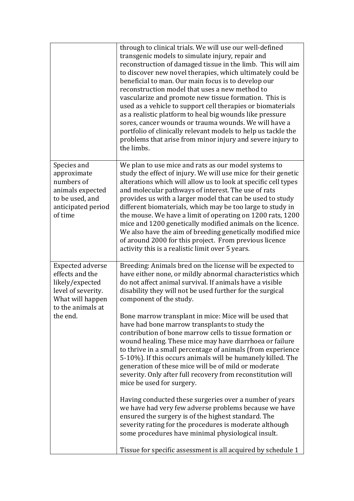|                                                                                                                                          | through to clinical trials. We will use our well-defined<br>transgenic models to simulate injury, repair and<br>reconstruction of damaged tissue in the limb. This will aim<br>to discover new novel therapies, which ultimately could be<br>beneficial to man. Our main focus is to develop our<br>reconstruction model that uses a new method to<br>vascularize and promote new tissue formation. This is<br>used as a vehicle to support cell therapies or biomaterials<br>as a realistic platform to heal big wounds like pressure<br>sores, cancer wounds or trauma wounds. We will have a<br>portfolio of clinically relevant models to help us tackle the<br>problems that arise from minor injury and severe injury to<br>the limbs.                                                                                                                                                                                                                                                                                                                                                                                                                |
|------------------------------------------------------------------------------------------------------------------------------------------|-------------------------------------------------------------------------------------------------------------------------------------------------------------------------------------------------------------------------------------------------------------------------------------------------------------------------------------------------------------------------------------------------------------------------------------------------------------------------------------------------------------------------------------------------------------------------------------------------------------------------------------------------------------------------------------------------------------------------------------------------------------------------------------------------------------------------------------------------------------------------------------------------------------------------------------------------------------------------------------------------------------------------------------------------------------------------------------------------------------------------------------------------------------|
| Species and<br>approximate<br>numbers of<br>animals expected<br>to be used, and<br>anticipated period<br>of time                         | We plan to use mice and rats as our model systems to<br>study the effect of injury. We will use mice for their genetic<br>alterations which will allow us to look at specific cell types<br>and molecular pathways of interest. The use of rats<br>provides us with a larger model that can be used to study<br>different biomaterials, which may be too large to study in<br>the mouse. We have a limit of operating on 1200 rats, 1200<br>mice and 1200 genetically modified animals on the licence.<br>We also have the aim of breeding genetically modified mice<br>of around 2000 for this project. From previous licence<br>activity this is a realistic limit over 5 years.                                                                                                                                                                                                                                                                                                                                                                                                                                                                          |
| <b>Expected adverse</b><br>effects and the<br>likely/expected<br>level of severity.<br>What will happen<br>to the animals at<br>the end. | Breeding: Animals bred on the license will be expected to<br>have either none, or mildly abnormal characteristics which<br>do not affect animal survival. If animals have a visible<br>disability they will not be used further for the surgical<br>component of the study.<br>Bone marrow transplant in mice: Mice will be used that<br>have had bone marrow transplants to study the<br>contribution of bone marrow cells to tissue formation or<br>wound healing. These mice may have diarrhoea or failure<br>to thrive in a small percentage of animals (from experience<br>5-10%). If this occurs animals will be humanely killed. The<br>generation of these mice will be of mild or moderate<br>severity. Only after full recovery from reconstitution will<br>mice be used for surgery.<br>Having conducted these surgeries over a number of years<br>we have had very few adverse problems because we have<br>ensured the surgery is of the highest standard. The<br>severity rating for the procedures is moderate although<br>some procedures have minimal physiological insult.<br>Tissue for specific assessment is all acquired by schedule 1 |